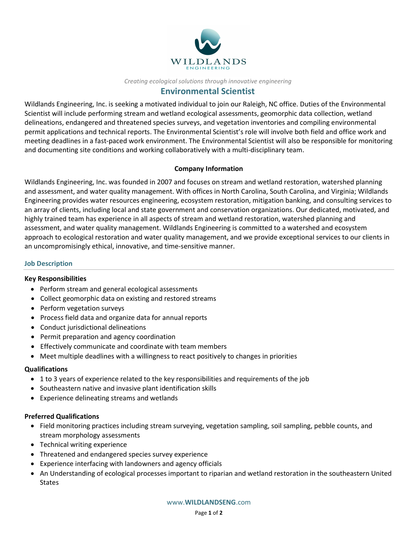

#### Creating ecological solutions through innovative engineering

# Environmental Scientist

Wildlands Engineering, Inc. is seeking a motivated individual to join our Raleigh, NC office. Duties of the Environmental Scientist will include performing stream and wetland ecological assessments, geomorphic data collection, wetland delineations, endangered and threatened species surveys, and vegetation inventories and compiling environmental permit applications and technical reports. The Environmental Scientist's role will involve both field and office work and meeting deadlines in a fast-paced work environment. The Environmental Scientist will also be responsible for monitoring and documenting site conditions and working collaboratively with a multi-disciplinary team.

### Company Information

Wildlands Engineering, Inc. was founded in 2007 and focuses on stream and wetland restoration, watershed planning and assessment, and water quality management. With offices in North Carolina, South Carolina, and Virginia; Wildlands Engineering provides water resources engineering, ecosystem restoration, mitigation banking, and consulting services to an array of clients, including local and state government and conservation organizations. Our dedicated, motivated, and highly trained team has experience in all aspects of stream and wetland restoration, watershed planning and assessment, and water quality management. Wildlands Engineering is committed to a watershed and ecosystem approach to ecological restoration and water quality management, and we provide exceptional services to our clients in an uncompromisingly ethical, innovative, and time-sensitive manner.

#### Job Description

#### Key Responsibilities

- Perform stream and general ecological assessments
- Collect geomorphic data on existing and restored streams
- Perform vegetation surveys
- Process field data and organize data for annual reports
- Conduct jurisdictional delineations
- Permit preparation and agency coordination
- Effectively communicate and coordinate with team members
- Meet multiple deadlines with a willingness to react positively to changes in priorities

## Qualifications

- 1 to 3 years of experience related to the key responsibilities and requirements of the job
- Southeastern native and invasive plant identification skills
- Experience delineating streams and wetlands

## Preferred Qualifications

- Field monitoring practices including stream surveying, vegetation sampling, soil sampling, pebble counts, and stream morphology assessments
- Technical writing experience
- Threatened and endangered species survey experience
- Experience interfacing with landowners and agency officials
- An Understanding of ecological processes important to riparian and wetland restoration in the southeastern United States